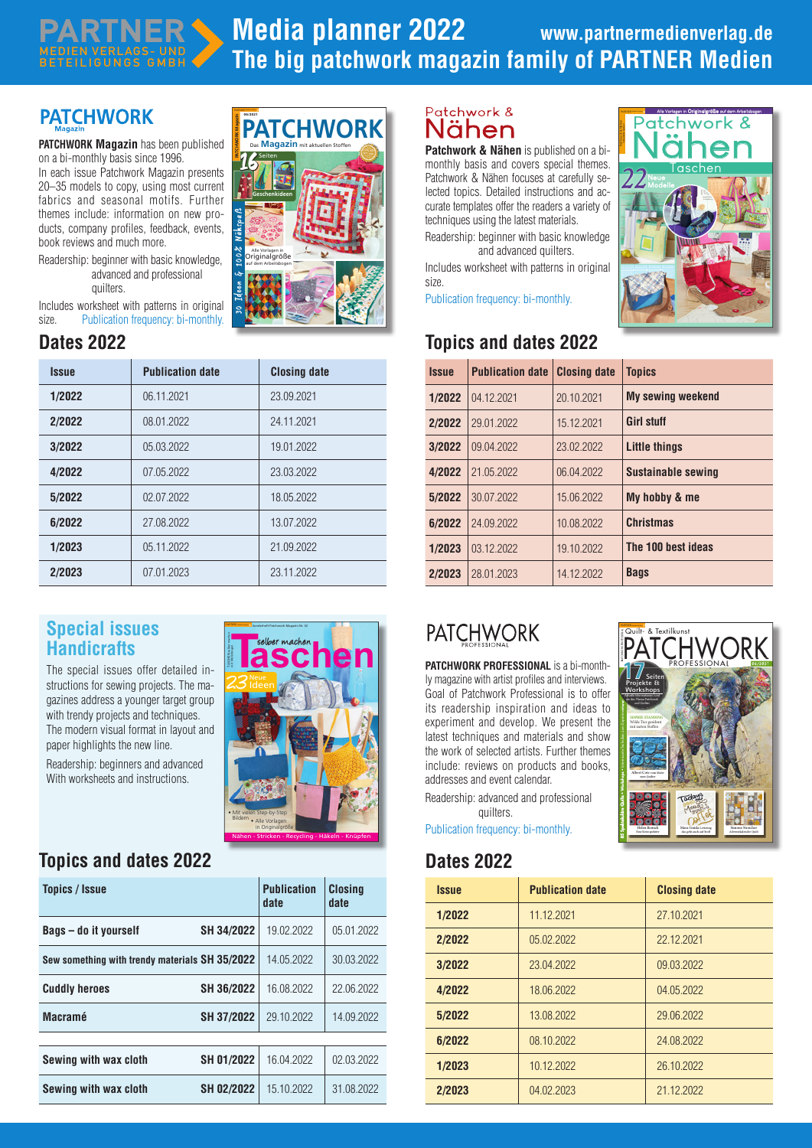# **PATCHMOR**

PARTNER MEDIEN VERLAGS- UND BETEILIGUNGS GMBH

**PATCHWORK Magazin** has been published on a bi-monthly basis since 1996.

In each issue Patchwork Magazin presents 20–35 models to copy, using most current fabrics and seasonal motifs. Further themes include: information on new products, company profiles, feedback, events, book reviews and much more.

Readership: beginner with basic knowledge, advanced and professional quilters.

Includes worksheet with patterns in original size. Publication frequency: bi-monthly.

| <b>Issue</b> | <b>Publication date</b> | <b>Closing date</b> |
|--------------|-------------------------|---------------------|
| 1/2022       | 06.11.2021              | 23.09.2021          |
| 2/2022       | 08.01.2022              | 24.11.2021          |
| 3/2022       | 05.03.2022              | 19.01.2022          |
| 4/2022       | 07.05.2022              | 23.03.2022          |
| 5/2022       | 02 07 2022              | 18.05.2022          |
| 6/2022       | 27.08.2022              | 13.07.2022          |
| 1/2023       | 05.11.2022              | 21.09.2022          |
| 2/2023       | 07.01.2023              | 23.11.2022          |

### **Special issues Handicrafts**

The special issues offer detailed instructions for sewing projects. The magazines address a younger target group with trendy projects and techniques. The modern visual format in layout and paper highlights the new line.

Readership: beginners and advanced With worksheets and instructions.

# **Taschen den**  $23<sup>Neue</sup>$ Ideen • Mit vielen Step-by-Step Bildern • Alle Vorlagen in Originalgröße Nähen - Stricken - Recycling - Häkeln - Knüpfen

PARTNER MANIMARY Sonderheft Patchwork Magazin Nr. 32

### **Topics and dates 2022 Dates 2022**

| <b>Topics / Issue</b>                          |                   | <b>Publication</b><br>date | <b>Closina</b><br>date |
|------------------------------------------------|-------------------|----------------------------|------------------------|
| Bags – do it yourself                          | SH 34/2022        | 19.02.2022                 | 05.01.2022             |
| Sew something with trendy materials SH 35/2022 |                   | 14.05.2022                 | 30.03.2022             |
| <b>Cuddly heroes</b>                           | SH 36/2022        | 16.08.2022                 | 22.06.2022             |
| <b>Macramé</b>                                 | SH 37/2022        | 29.10.2022                 | 14.09.2022             |
|                                                |                   |                            |                        |
| Sewing with wax cloth                          | SH 01/2022        | 16.04.2022                 | 02.03.2022             |
| Sewing with wax cloth                          | <b>SH 02/2022</b> | 15.10.2022                 | 31.08.2022             |



### Patchwork & Nähen

**Patchwork & Nähen** is published on a bimonthly basis and covers special themes. Patchwork & Nähen focuses at carefully selected topics. Detailed instructions and accurate templates offer the readers a variety of techniques using the latest materials. Readership: beginner with basic knowledge

and advanced quilters.

Includes worksheet with patterns in original size.

Publication frequency: bi-monthly.

## **Dates 2022 Topics and dates 2022**



01\_PW\_SP-05-2021.indd 1 07.07.21 10:01

| <i><b>Issue</b></i> | <b>Publication date</b> | <b>Closing date</b> | <b>Topics</b>             |
|---------------------|-------------------------|---------------------|---------------------------|
| 1/2022              | 04.12.2021              | 20.10.2021          | <b>My sewing weekend</b>  |
| 2/2022              | 29.01.2022              | 15.12.2021          | <b>Girl stuff</b>         |
| 3/2022              | 09.04.2022              | 23.02.2022          | <b>Little things</b>      |
| 4/2022              | 21.05.2022              | 06.04.2022          | <b>Sustainable sewing</b> |
| 5/2022              | 30.07.2022              | 15.06.2022          | My hobby & me             |
| 6/2022              | 24.09.2022              | 10.08.2022          | <b>Christmas</b>          |
| 1/2023              | 03.12.2022              | 19.10.2022          | The 100 best ideas        |
| 2/2023              | 28.01.2023              | 14.12.2022          | <b>Bags</b>               |

# **PATCHWORK**

**PATCHWORK PROFESSIONAL** is a bi-monthly magazine with artist profiles and interviews. Goal of Patchwork Professional is to offer its readership inspiration and ideas to experiment and develop. We present the latest techniques and materials and show the work of selected artists. Further themes include: reviews on products and books, addresses and event calendar.

Readership: advanced and professional quilters.

Publication frequency: bi-monthly.

| <i><b>Issue</b></i> | <b>Publication date</b> | <b>Closing date</b> |
|---------------------|-------------------------|---------------------|
| 1/2022              | 11.12.2021              | 27.10.2021          |
| 2/2022              | 05.02.2022              | 22.12.2021          |
| 3/2022              | 23.04.2022              | 09.03.2022          |
| 4/2022              | 18.06.2022              | 04.05.2022          |
| 5/2022              | 13.08.2022              | 29.06.2022          |
| 6/2022              | 08.10.2022              | 24.08.2022          |
| 1/2023              | 10.12.2022              | 26.10.2022          |
| 2/2023              | 04.02.2023              | 21.12.2022          |